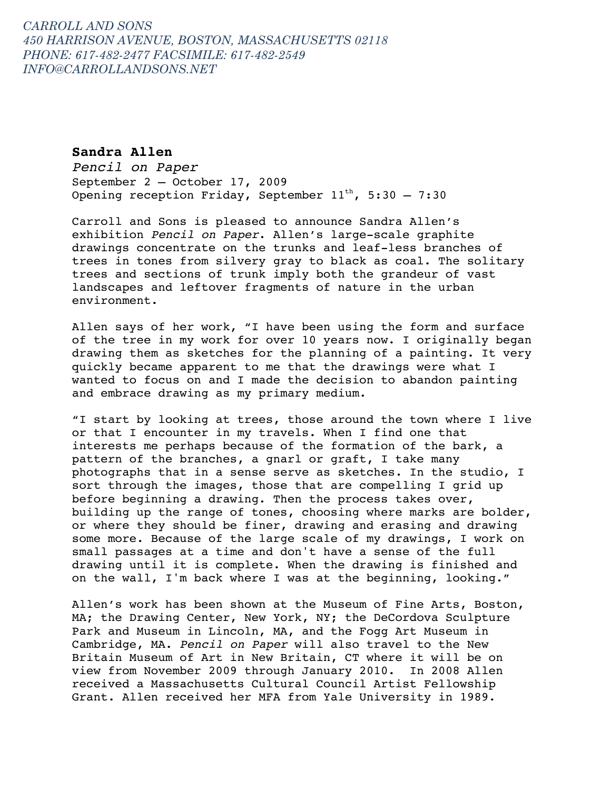# **Sandra Allen**

*Pencil on Paper* September 2 – October 17, 2009 Opening reception Friday, September  $11^{th}$ , 5:30 - 7:30

Carroll and Sons is pleased to announce Sandra Allen's exhibition *Pencil on Paper*. Allen's large-scale graphite drawings concentrate on the trunks and leaf-less branches of trees in tones from silvery gray to black as coal. The solitary trees and sections of trunk imply both the grandeur of vast landscapes and leftover fragments of nature in the urban environment.

Allen says of her work, "I have been using the form and surface of the tree in my work for over 10 years now. I originally began drawing them as sketches for the planning of a painting. It very quickly became apparent to me that the drawings were what I wanted to focus on and I made the decision to abandon painting and embrace drawing as my primary medium.

"I start by looking at trees, those around the town where I live or that I encounter in my travels. When I find one that interests me perhaps because of the formation of the bark, a pattern of the branches, a gnarl or graft, I take many photographs that in a sense serve as sketches. In the studio, I sort through the images, those that are compelling I grid up before beginning a drawing. Then the process takes over, building up the range of tones, choosing where marks are bolder, or where they should be finer, drawing and erasing and drawing some more. Because of the large scale of my drawings, I work on small passages at a time and don't have a sense of the full drawing until it is complete. When the drawing is finished and on the wall, I'm back where I was at the beginning, looking."

Allen's work has been shown at the Museum of Fine Arts, Boston, MA; the Drawing Center, New York, NY; the DeCordova Sculpture Park and Museum in Lincoln, MA, and the Fogg Art Museum in Cambridge, MA. *Pencil on Paper* will also travel to the New Britain Museum of Art in New Britain, CT where it will be on view from November 2009 through January 2010. In 2008 Allen received a Massachusetts Cultural Council Artist Fellowship Grant. Allen received her MFA from Yale University in 1989.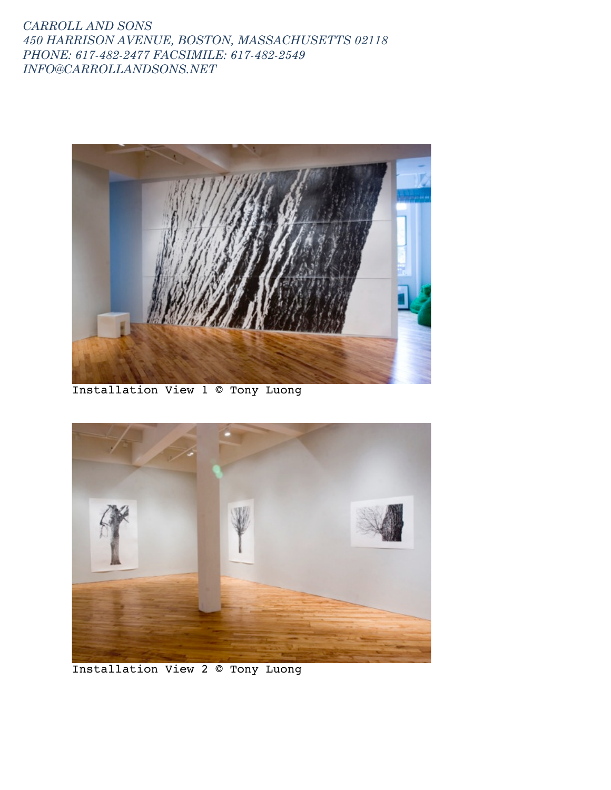

Installation View 1 © Tony Luong



Installation View 2 © Tony Luong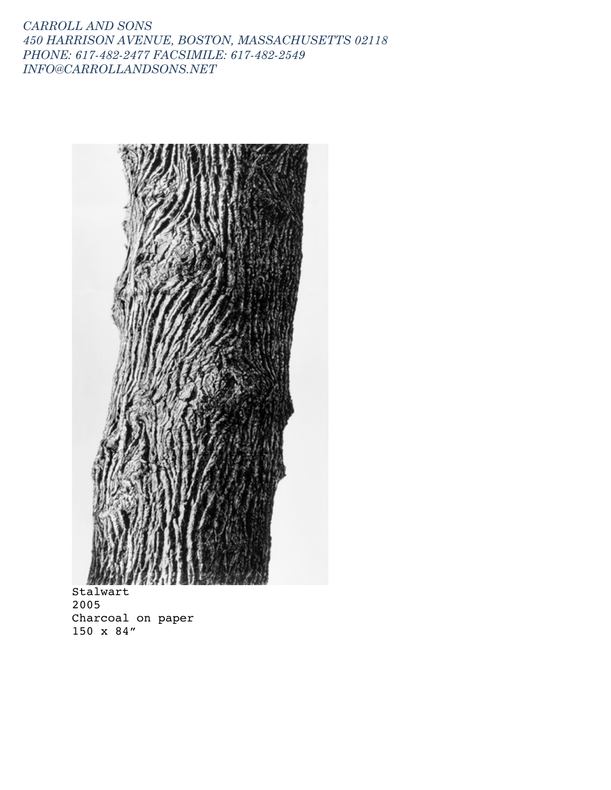

Stalwart 2005 Charcoal on paper 150 x 84"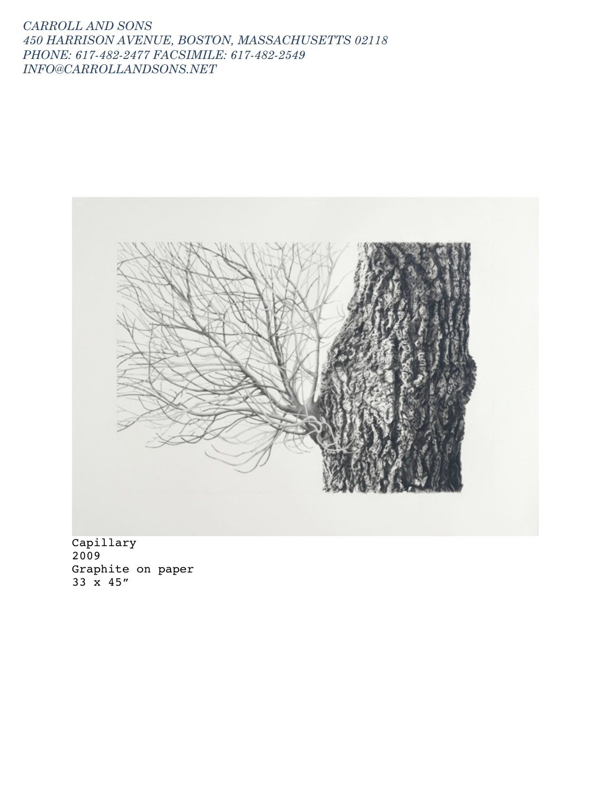

Capillary 2009 Graphite on paper 33 x 45"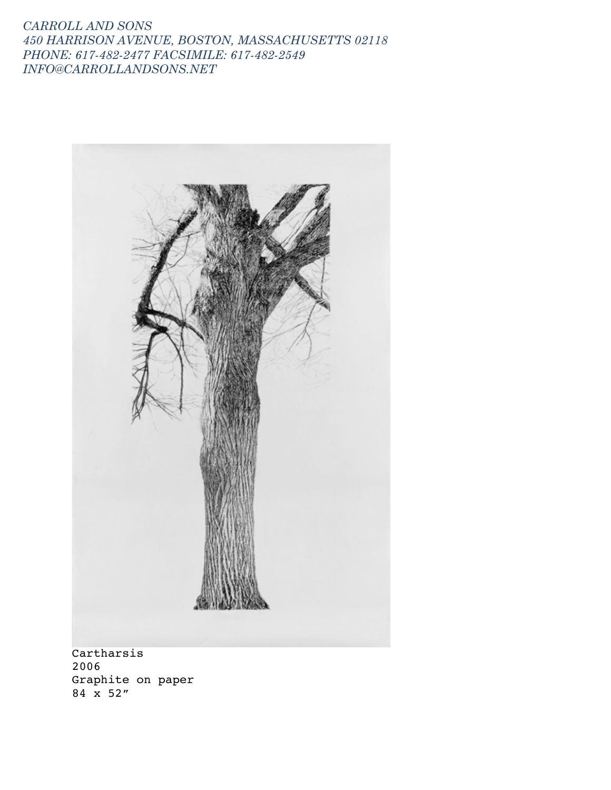

Cartharsis 2006 Graphite on paper 84 x 52"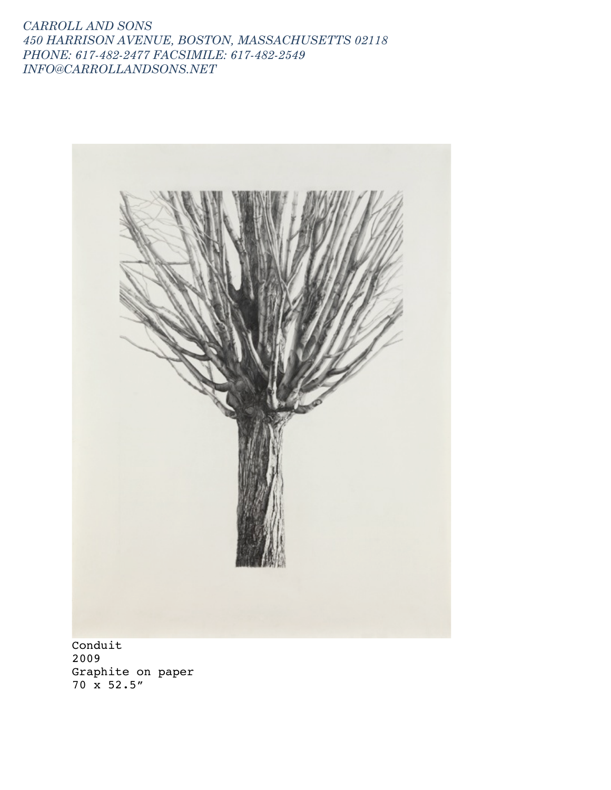

Conduit 2009 Graphite on paper 70 x 52.5"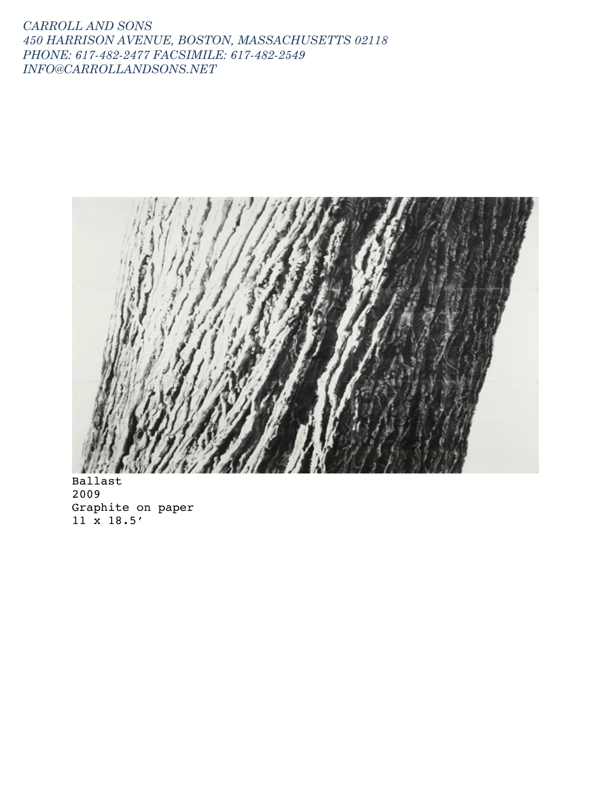

Ballast 2009 Graphite on paper 11 x 18.5'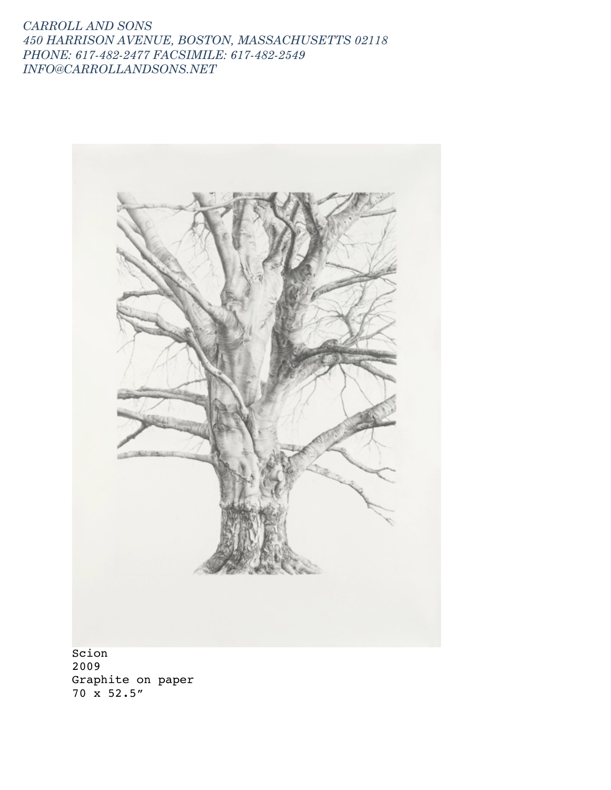

Scion 2009 Graphite on paper 70 x 52.5"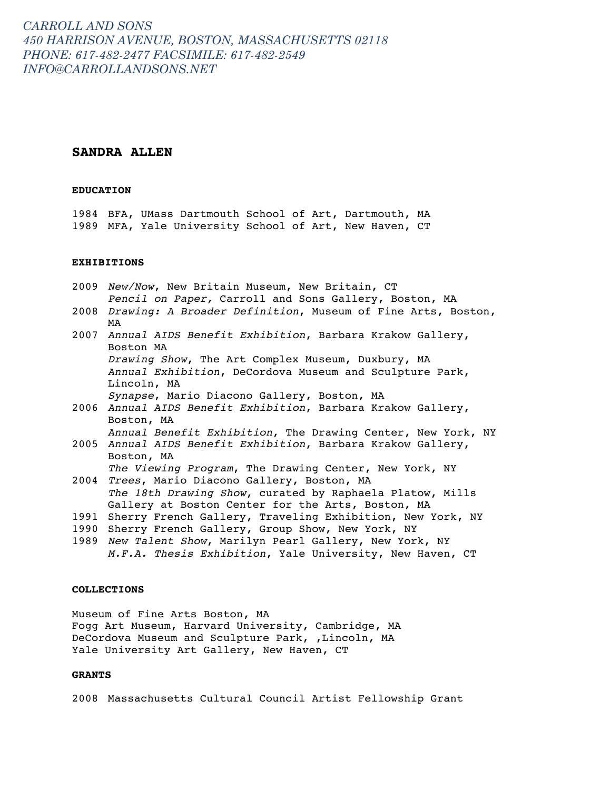### **SANDRA ALLEN**

#### **EDUCATION**

1984 BFA, UMass Dartmouth School of Art, Dartmouth, MA 1989 MFA, Yale University School of Art, New Haven, CT

## **EXHIBITIONS**

- 2009 *New/Now*, New Britain Museum, New Britain, CT *Pencil on Paper,* Carroll and Sons Gallery, Boston, MA
- 2008 *Drawing: A Broader Definition*, Museum of Fine Arts, Boston, MA
- 2007 *Annual AIDS Benefit Exhibition*, Barbara Krakow Gallery, Boston MA *Drawing Show*, The Art Complex Museum, Duxbury, MA *Annual Exhibition*, DeCordova Museum and Sculpture Park, Lincoln, MA *Synapse*, Mario Diacono Gallery, Boston, MA
- 2006 *Annual AIDS Benefit Exhibition*, Barbara Krakow Gallery, Boston, MA *Annual Benefit Exhibition*, The Drawing Center, New York, NY
- 2005 *Annual AIDS Benefit Exhibition*, Barbara Krakow Gallery, Boston, MA

*The Viewing Program*, The Drawing Center, New York, NY

- 2004 *Trees*, Mario Diacono Gallery, Boston, MA *The 18th Drawing Show*, curated by Raphaela Platow, Mills Gallery at Boston Center for the Arts, Boston, MA
- 1991 Sherry French Gallery, Traveling Exhibition, New York, NY
- 1990 Sherry French Gallery, Group Show, New York, NY
- 1989 *New Talent Show*, Marilyn Pearl Gallery, New York, NY *M.F.A. Thesis Exhibition*, Yale University, New Haven, CT

#### **COLLECTIONS**

Museum of Fine Arts Boston, MA Fogg Art Museum, Harvard University, Cambridge, MA DeCordova Museum and Sculpture Park, ,Lincoln, MA Yale University Art Gallery, New Haven, CT

#### **GRANTS**

2008 Massachusetts Cultural Council Artist Fellowship Grant